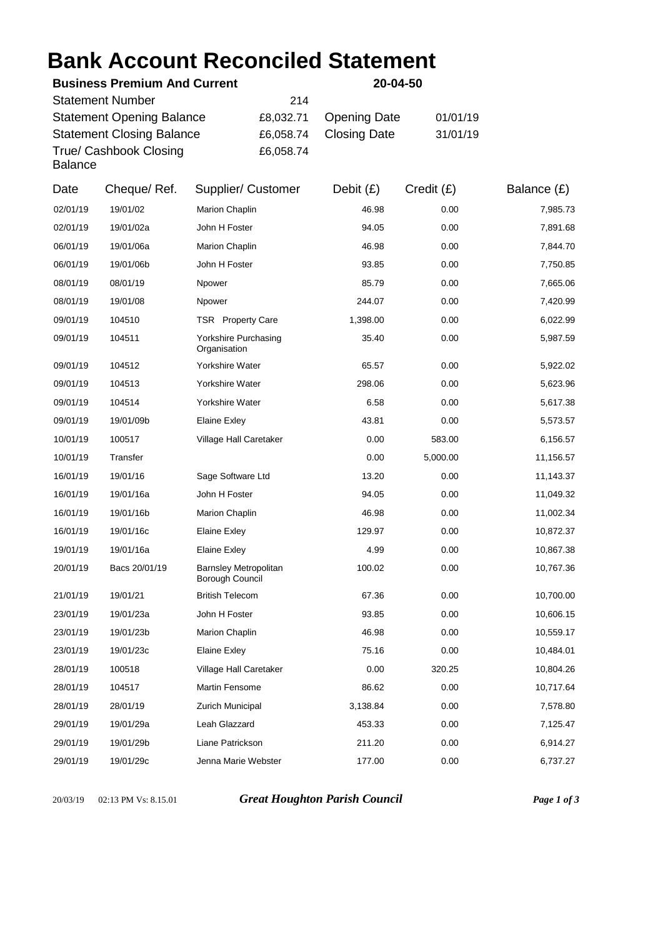## **Bank Account Reconciled Statement**

|                                                                                                                           | <b>Business Premium And Current</b> |                                                           |                                            | 20-04-50                                   |                      |                      |
|---------------------------------------------------------------------------------------------------------------------------|-------------------------------------|-----------------------------------------------------------|--------------------------------------------|--------------------------------------------|----------------------|----------------------|
| <b>Statement Number</b><br><b>Statement Opening Balance</b><br><b>Statement Closing Balance</b><br>True/ Cashbook Closing |                                     |                                                           | 214<br>£8,032.71<br>£6,058.74<br>£6,058.74 | <b>Opening Date</b><br><b>Closing Date</b> | 01/01/19<br>31/01/19 |                      |
| <b>Balance</b><br>Date                                                                                                    |                                     | Supplier/ Customer                                        |                                            |                                            |                      |                      |
|                                                                                                                           | Cheque/Ref.                         |                                                           |                                            | Debit $(E)$                                | Credit(E)            | Balance $(E)$        |
| 02/01/19                                                                                                                  | 19/01/02                            | Marion Chaplin                                            |                                            | 46.98                                      | 0.00                 | 7,985.73             |
| 02/01/19                                                                                                                  | 19/01/02a                           | John H Foster                                             |                                            | 94.05                                      | 0.00                 | 7,891.68             |
| 06/01/19                                                                                                                  | 19/01/06a                           | Marion Chaplin                                            |                                            | 46.98                                      | 0.00                 | 7,844.70             |
| 06/01/19                                                                                                                  | 19/01/06b                           | John H Foster                                             |                                            | 93.85                                      | 0.00                 | 7,750.85             |
| 08/01/19                                                                                                                  | 08/01/19                            | Npower                                                    |                                            | 85.79                                      | 0.00                 | 7,665.06             |
| 08/01/19                                                                                                                  | 19/01/08                            | Npower                                                    |                                            | 244.07                                     | 0.00                 | 7,420.99             |
| 09/01/19<br>09/01/19                                                                                                      | 104510<br>104511                    | TSR Property Care<br>Yorkshire Purchasing<br>Organisation |                                            | 1,398.00<br>35.40                          | 0.00<br>0.00         | 6,022.99<br>5,987.59 |
| 09/01/19                                                                                                                  | 104512                              | Yorkshire Water                                           |                                            | 65.57                                      | 0.00                 | 5,922.02             |
| 09/01/19                                                                                                                  | 104513                              | Yorkshire Water                                           |                                            | 298.06                                     | 0.00                 | 5,623.96             |
| 09/01/19                                                                                                                  | 104514                              | Yorkshire Water                                           |                                            | 6.58                                       | 0.00                 | 5,617.38             |
| 09/01/19                                                                                                                  | 19/01/09b                           | <b>Elaine Exley</b>                                       |                                            | 43.81                                      | 0.00                 | 5,573.57             |
| 10/01/19                                                                                                                  | 100517                              | Village Hall Caretaker                                    |                                            | 0.00                                       | 583.00               | 6,156.57             |
| 10/01/19                                                                                                                  | Transfer                            |                                                           |                                            | 0.00                                       | 5,000.00             | 11,156.57            |
| 16/01/19                                                                                                                  | 19/01/16                            | Sage Software Ltd                                         |                                            | 13.20                                      | 0.00                 | 11,143.37            |
| 16/01/19                                                                                                                  | 19/01/16a                           | John H Foster                                             |                                            | 94.05                                      | 0.00                 | 11,049.32            |
| 16/01/19                                                                                                                  | 19/01/16b                           | Marion Chaplin                                            |                                            | 46.98                                      | 0.00                 | 11,002.34            |
| 16/01/19                                                                                                                  | 19/01/16c                           | <b>Elaine Exley</b>                                       |                                            | 129.97                                     | 0.00                 | 10,872.37            |
| 19/01/19                                                                                                                  | 19/01/16a                           | <b>Elaine Exley</b>                                       |                                            | 4.99                                       | 0.00                 | 10,867.38            |
| 20/01/19                                                                                                                  | Bacs 20/01/19                       | Barnsley Metropolitan<br>Borough Council                  |                                            | 100.02                                     | 0.00                 | 10,767.36            |
| 21/01/19                                                                                                                  | 19/01/21                            | <b>British Telecom</b>                                    |                                            | 67.36                                      | 0.00                 | 10,700.00            |
| 23/01/19                                                                                                                  | 19/01/23a                           | John H Foster                                             |                                            | 93.85                                      | 0.00                 | 10,606.15            |
| 23/01/19                                                                                                                  | 19/01/23b                           | Marion Chaplin                                            |                                            | 46.98                                      | 0.00                 | 10,559.17            |
| 23/01/19                                                                                                                  | 19/01/23c                           | <b>Elaine Exley</b>                                       |                                            | 75.16                                      | 0.00                 | 10,484.01            |
| 28/01/19                                                                                                                  | 100518                              | Village Hall Caretaker                                    |                                            | 0.00                                       | 320.25               | 10,804.26            |
| 28/01/19                                                                                                                  | 104517                              | Martin Fensome                                            |                                            | 86.62                                      | 0.00                 | 10,717.64            |
| 28/01/19                                                                                                                  | 28/01/19                            | Zurich Municipal                                          |                                            | 3,138.84                                   | 0.00                 | 7,578.80             |
| 29/01/19                                                                                                                  | 19/01/29a                           | Leah Glazzard                                             |                                            | 453.33                                     | 0.00                 | 7,125.47             |
| 29/01/19                                                                                                                  | 19/01/29b                           | Liane Patrickson                                          |                                            | 211.20                                     | 0.00                 | 6,914.27             |
| 29/01/19                                                                                                                  | 19/01/29c                           | Jenna Marie Webster                                       |                                            | 177.00                                     | 0.00                 | 6,737.27             |

20/03/19 02:13 PM Vs: 8.15.01 *Great Houghton Parish Council Page 1 of 3*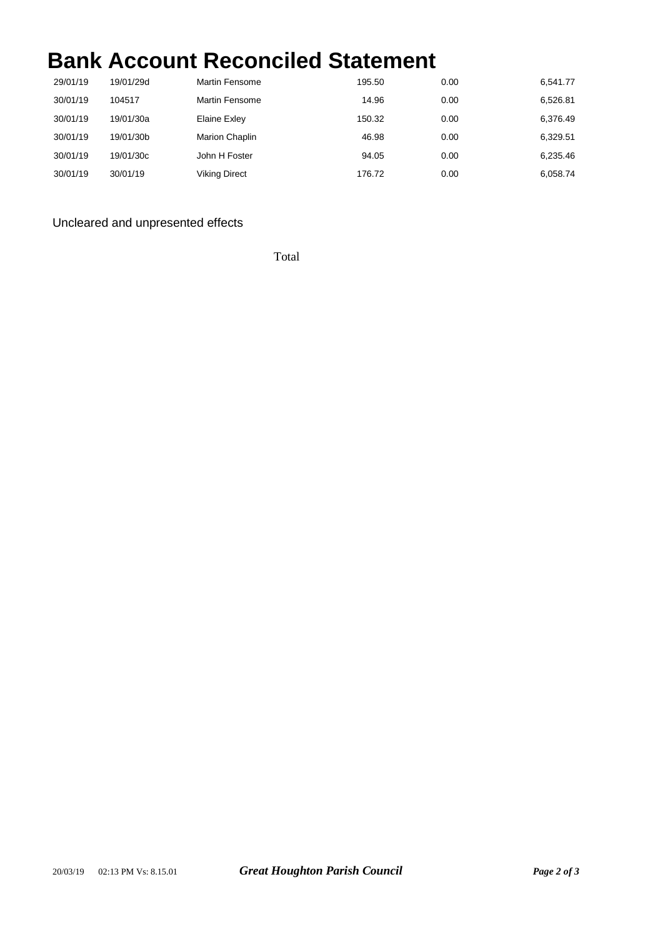## **Bank Account Reconciled Statement**

| 29/01/19 | 19/01/29d | <b>Martin Fensome</b> | 195.50 | 0.00 | 6,541.77 |
|----------|-----------|-----------------------|--------|------|----------|
| 30/01/19 | 104517    | <b>Martin Fensome</b> | 14.96  | 0.00 | 6,526.81 |
| 30/01/19 | 19/01/30a | Elaine Exley          | 150.32 | 0.00 | 6.376.49 |
| 30/01/19 | 19/01/30b | Marion Chaplin        | 46.98  | 0.00 | 6.329.51 |
| 30/01/19 | 19/01/30c | John H Foster         | 94.05  | 0.00 | 6,235.46 |
| 30/01/19 | 30/01/19  | <b>Viking Direct</b>  | 176.72 | 0.00 | 6.058.74 |

## Uncleared and unpresented effects

Total